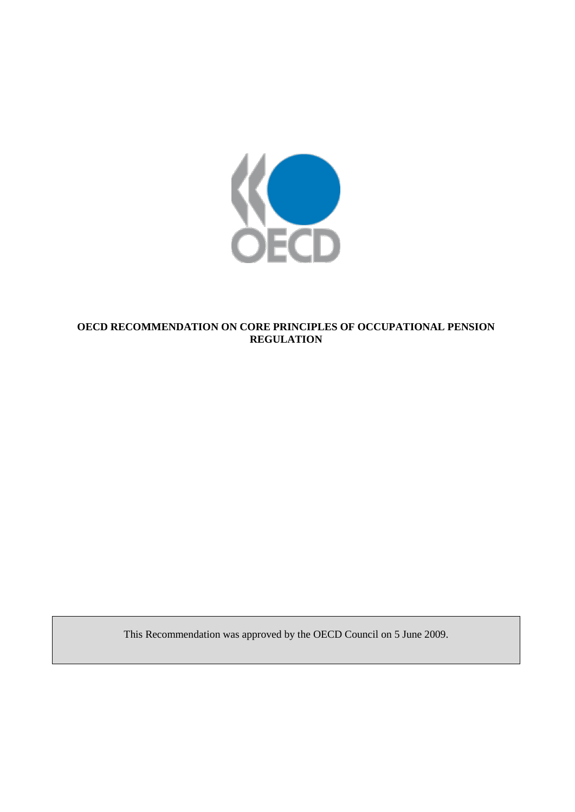

### **OECD RECOMMENDATION ON CORE PRINCIPLES OF OCCUPATIONAL PENSION REGULATION**

This Recommendation was approved by the OECD Council on 5 June 2009.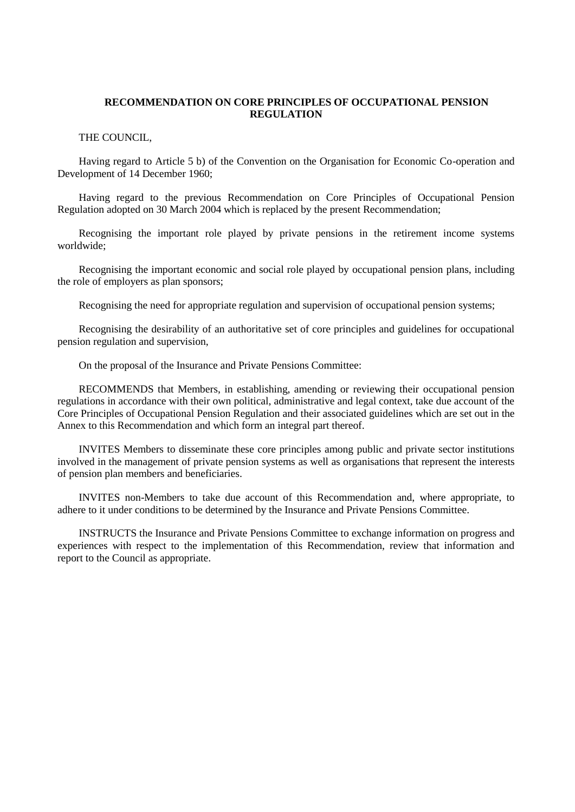### **RECOMMENDATION ON CORE PRINCIPLES OF OCCUPATIONAL PENSION REGULATION**

THE COUNCIL,

Having regard to Article 5 b) of the Convention on the Organisation for Economic Co-operation and Development of 14 December 1960;

Having regard to the previous Recommendation on Core Principles of Occupational Pension Regulation adopted on 30 March 2004 which is replaced by the present Recommendation;

Recognising the important role played by private pensions in the retirement income systems worldwide;

Recognising the important economic and social role played by occupational pension plans, including the role of employers as plan sponsors;

Recognising the need for appropriate regulation and supervision of occupational pension systems;

Recognising the desirability of an authoritative set of core principles and guidelines for occupational pension regulation and supervision,

On the proposal of the Insurance and Private Pensions Committee:

RECOMMENDS that Members, in establishing, amending or reviewing their occupational pension regulations in accordance with their own political, administrative and legal context, take due account of the Core Principles of Occupational Pension Regulation and their associated guidelines which are set out in the Annex to this Recommendation and which form an integral part thereof.

INVITES Members to disseminate these core principles among public and private sector institutions involved in the management of private pension systems as well as organisations that represent the interests of pension plan members and beneficiaries.

INVITES non-Members to take due account of this Recommendation and, where appropriate, to adhere to it under conditions to be determined by the Insurance and Private Pensions Committee.

INSTRUCTS the Insurance and Private Pensions Committee to exchange information on progress and experiences with respect to the implementation of this Recommendation, review that information and report to the Council as appropriate.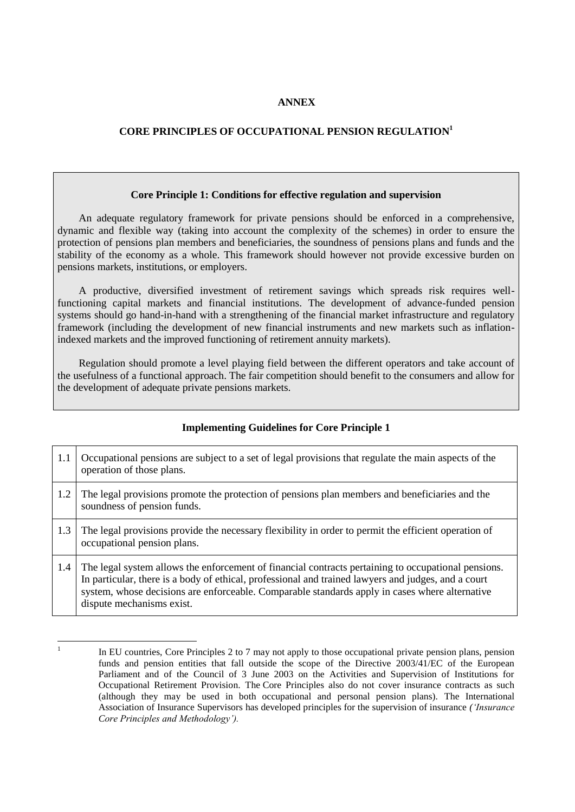#### **ANNEX**

### **CORE PRINCIPLES OF OCCUPATIONAL PENSION REGULATION<sup>1</sup>**

#### **Core Principle 1: Conditions for effective regulation and supervision**

An adequate regulatory framework for private pensions should be enforced in a comprehensive, dynamic and flexible way (taking into account the complexity of the schemes) in order to ensure the protection of pensions plan members and beneficiaries, the soundness of pensions plans and funds and the stability of the economy as a whole. This framework should however not provide excessive burden on pensions markets, institutions, or employers.

A productive, diversified investment of retirement savings which spreads risk requires wellfunctioning capital markets and financial institutions. The development of advance-funded pension systems should go hand-in-hand with a strengthening of the financial market infrastructure and regulatory framework (including the development of new financial instruments and new markets such as inflationindexed markets and the improved functioning of retirement annuity markets).

Regulation should promote a level playing field between the different operators and take account of the usefulness of a functional approach. The fair competition should benefit to the consumers and allow for the development of adequate private pensions markets.

# **Implementing Guidelines for Core Principle 1** 1.1 Occupational pensions are subject to a set of legal provisions that regulate the main aspects of the operation of those plans. 1.2 The legal provisions promote the protection of pensions plan members and beneficiaries and the soundness of pension funds. 1.3 The legal provisions provide the necessary flexibility in order to permit the efficient operation of occupational pension plans. 1.4 The legal system allows the enforcement of financial contracts pertaining to occupational pensions. In particular, there is a body of ethical, professional and trained lawyers and judges, and a court system, whose decisions are enforceable. Comparable standards apply in cases where alternative

|<br>|<br>|

dispute mechanisms exist.

In EU countries, Core Principles 2 to 7 may not apply to those occupational private pension plans, pension funds and pension entities that fall outside the scope of the Directive 2003/41/EC of the European Parliament and of the Council of 3 June 2003 on the Activities and Supervision of Institutions for Occupational Retirement Provision. The Core Principles also do not cover insurance contracts as such (although they may be used in both occupational and personal pension plans). The International Association of Insurance Supervisors has developed principles for the supervision of insurance *('Insurance Core Principles and Methodology').*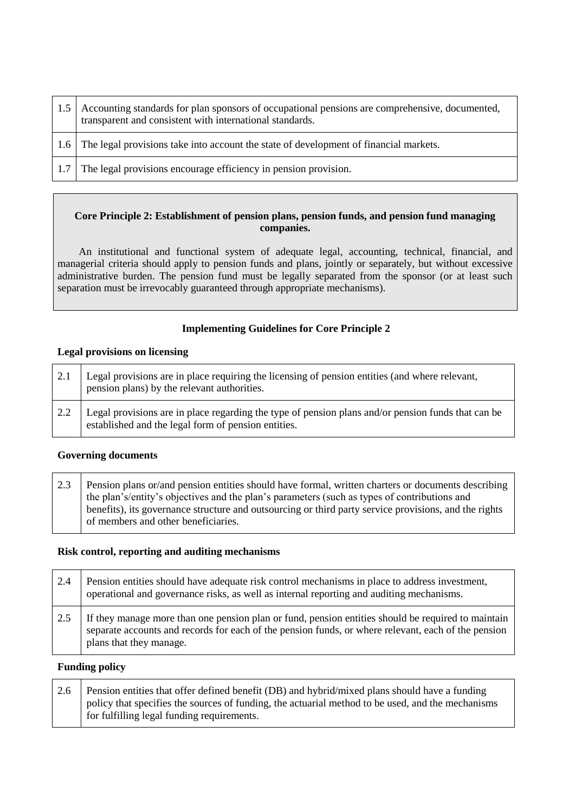| 1.5 | Accounting standards for plan sponsors of occupational pensions are comprehensive, documented,<br>transparent and consistent with international standards. |
|-----|------------------------------------------------------------------------------------------------------------------------------------------------------------|
|     | 1.6 The legal provisions take into account the state of development of financial markets.                                                                  |
|     | 1.7 The legal provisions encourage efficiency in pension provision.                                                                                        |

### **Core Principle 2: Establishment of pension plans, pension funds, and pension fund managing companies.**

An institutional and functional system of adequate legal, accounting, technical, financial, and managerial criteria should apply to pension funds and plans, jointly or separately, but without excessive administrative burden. The pension fund must be legally separated from the sponsor (or at least such separation must be irrevocably guaranteed through appropriate mechanisms).

### **Implementing Guidelines for Core Principle 2**

### **Legal provisions on licensing**

|     | Legal provisions are in place requiring the licensing of pension entities (and where relevant,<br>pension plans) by the relevant authorities.             |
|-----|-----------------------------------------------------------------------------------------------------------------------------------------------------------|
| 2.2 | Legal provisions are in place regarding the type of pension plans and/or pension funds that can be<br>established and the legal form of pension entities. |

### **Governing documents**

| 2.3 | Pension plans or/and pension entities should have formal, written charters or documents describing    |
|-----|-------------------------------------------------------------------------------------------------------|
|     | the plan's/entity's objectives and the plan's parameters (such as types of contributions and          |
|     | benefits), its governance structure and outsourcing or third party service provisions, and the rights |
|     | of members and other beneficiaries.                                                                   |

### **Risk control, reporting and auditing mechanisms**

| 2.4 | Pension entities should have adequate risk control mechanisms in place to address investment,<br>operational and governance risks, as well as internal reporting and auditing mechanisms.                                            |
|-----|--------------------------------------------------------------------------------------------------------------------------------------------------------------------------------------------------------------------------------------|
| 2.5 | If they manage more than one pension plan or fund, pension entities should be required to maintain<br>separate accounts and records for each of the pension funds, or where relevant, each of the pension<br>plans that they manage. |

### **Funding policy**

| Pension entities that offer defined benefit (DB) and hybrid/mixed plans should have a funding     |
|---------------------------------------------------------------------------------------------------|
| policy that specifies the sources of funding, the actuarial method to be used, and the mechanisms |
| for fulfilling legal funding requirements.                                                        |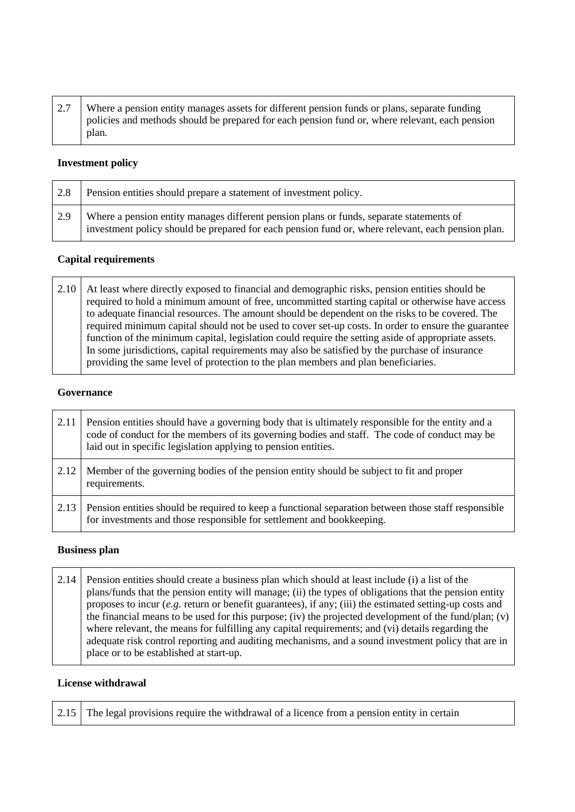| 2.7 | Where a pension entity manages assets for different pension funds or plans, separate funding   |
|-----|------------------------------------------------------------------------------------------------|
|     | policies and methods should be prepared for each pension fund or, where relevant, each pension |
|     | plan.                                                                                          |

### **Investment policy**

| 2.8 | Pension entities should prepare a statement of investment policy.                                                                                                                            |
|-----|----------------------------------------------------------------------------------------------------------------------------------------------------------------------------------------------|
| 2.9 | Where a pension entity manages different pension plans or funds, separate statements of<br>investment policy should be prepared for each pension fund or, where relevant, each pension plan. |

### **Capital requirements**

| 2.10 At least where directly exposed to financial and demographic risks, pension entities should be |
|-----------------------------------------------------------------------------------------------------|
| required to hold a minimum amount of free, uncommitted starting capital or otherwise have access    |
| to adequate financial resources. The amount should be dependent on the risks to be covered. The     |
| required minimum capital should not be used to cover set-up costs. In order to ensure the guarantee |
| function of the minimum capital, legislation could require the setting aside of appropriate assets. |
| In some jurisdictions, capital requirements may also be satisfied by the purchase of insurance      |
| providing the same level of protection to the plan members and plan beneficiaries.                  |

### **Governance**

| 2.11 | Pension entities should have a governing body that is ultimately responsible for the entity and a<br>code of conduct for the members of its governing bodies and staff. The code of conduct may be<br>laid out in specific legislation applying to pension entities. |
|------|----------------------------------------------------------------------------------------------------------------------------------------------------------------------------------------------------------------------------------------------------------------------|
| 2.12 | Member of the governing bodies of the pension entity should be subject to fit and proper<br>requirements.                                                                                                                                                            |
| 2.13 | Pension entities should be required to keep a functional separation between those staff responsible<br>for investments and those responsible for settlement and bookkeeping.                                                                                         |

### **Business plan**

2.14 Pension entities should create a business plan which should at least include (i) a list of the plans/funds that the pension entity will manage; (ii) the types of obligations that the pension entity proposes to incur (*e.g.* return or benefit guarantees), if any; (iii) the estimated setting-up costs and the financial means to be used for this purpose; (iv) the projected development of the fund/plan; (v) where relevant, the means for fulfilling any capital requirements; and (vi) details regarding the adequate risk control reporting and auditing mechanisms, and a sound investment policy that are in place or to be established at start-up*.*

### **License withdrawal**

 $\top$ 

|  | 2.15 The legal provisions require the withdrawal of a licence from a pension entity in certain |
|--|------------------------------------------------------------------------------------------------|
|--|------------------------------------------------------------------------------------------------|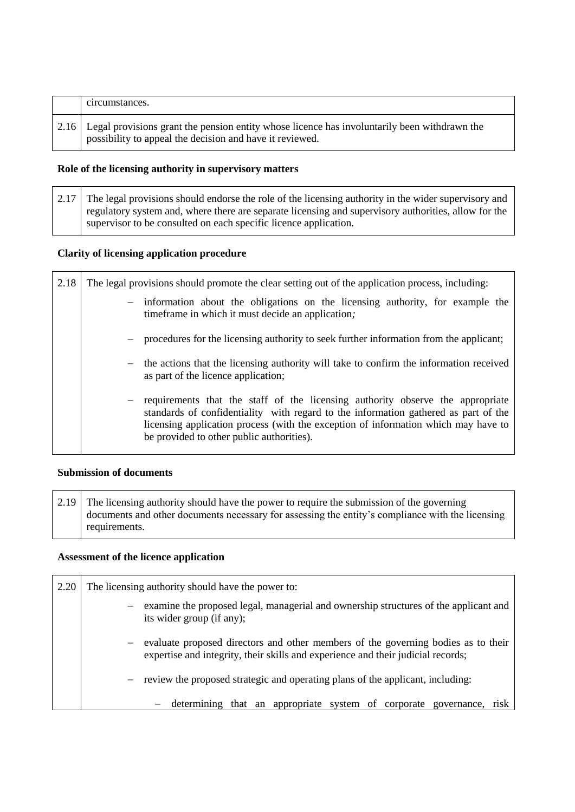| circumstances.                                                                                                                                                |
|---------------------------------------------------------------------------------------------------------------------------------------------------------------|
| 2.16 Legal provisions grant the pension entity whose licence has involuntarily been withdrawn the<br>possibility to appeal the decision and have it reviewed. |

# **Role of the licensing authority in supervisory matters**

| 2.17 The legal provisions should endorse the role of the licensing authority in the wider supervisory and |
|-----------------------------------------------------------------------------------------------------------|
| regulatory system and, where there are separate licensing and supervisory authorities, allow for the      |
| supervisor to be consulted on each specific licence application.                                          |

# **Clarity of licensing application procedure**

| 2.18 | The legal provisions should promote the clear setting out of the application process, including:                                                                                                                                                                                                                                     |
|------|--------------------------------------------------------------------------------------------------------------------------------------------------------------------------------------------------------------------------------------------------------------------------------------------------------------------------------------|
|      | - information about the obligations on the licensing authority, for example the<br>time frame in which it must decide an application;                                                                                                                                                                                                |
|      | - procedures for the licensing authority to seek further information from the applicant;                                                                                                                                                                                                                                             |
|      | - the actions that the licensing authority will take to confirm the information received<br>as part of the licence application;                                                                                                                                                                                                      |
|      | requirements that the staff of the licensing authority observe the appropriate<br>$\overline{\phantom{m}}$<br>standards of confidentiality with regard to the information gathered as part of the<br>licensing application process (with the exception of information which may have to<br>be provided to other public authorities). |

## **Submission of documents**

 $\blacksquare$ 

| 2.19 The licensing authority should have the power to require the submission of the governing    |
|--------------------------------------------------------------------------------------------------|
| documents and other documents necessary for assessing the entity's compliance with the licensing |
| requirements.                                                                                    |

# **Assessment of the licence application**

| 2.20 | The licensing authority should have the power to:                                                                                                                     |
|------|-----------------------------------------------------------------------------------------------------------------------------------------------------------------------|
|      | examine the proposed legal, managerial and ownership structures of the applicant and<br>$\overline{\phantom{m}}$<br>its wider group (if any);                         |
|      | evaluate proposed directors and other members of the governing bodies as to their<br>expertise and integrity, their skills and experience and their judicial records; |
|      | review the proposed strategic and operating plans of the applicant, including:                                                                                        |
|      | determining that an appropriate system of corporate governance, risk                                                                                                  |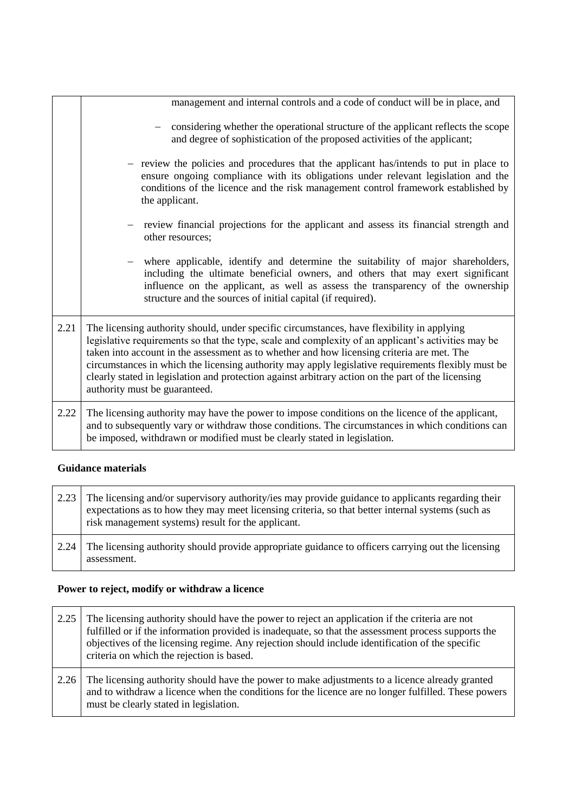|      | management and internal controls and a code of conduct will be in place, and<br>considering whether the operational structure of the applicant reflects the scope                                                                                                                                                                                                                                                                                                                                                                            |
|------|----------------------------------------------------------------------------------------------------------------------------------------------------------------------------------------------------------------------------------------------------------------------------------------------------------------------------------------------------------------------------------------------------------------------------------------------------------------------------------------------------------------------------------------------|
|      | and degree of sophistication of the proposed activities of the applicant;                                                                                                                                                                                                                                                                                                                                                                                                                                                                    |
|      | - review the policies and procedures that the applicant has/intends to put in place to<br>ensure ongoing compliance with its obligations under relevant legislation and the<br>conditions of the licence and the risk management control framework established by<br>the applicant.                                                                                                                                                                                                                                                          |
|      | review financial projections for the applicant and assess its financial strength and<br>other resources;                                                                                                                                                                                                                                                                                                                                                                                                                                     |
|      | where applicable, identify and determine the suitability of major shareholders,<br>including the ultimate beneficial owners, and others that may exert significant<br>influence on the applicant, as well as assess the transparency of the ownership<br>structure and the sources of initial capital (if required).                                                                                                                                                                                                                         |
| 2.21 | The licensing authority should, under specific circumstances, have flexibility in applying<br>legislative requirements so that the type, scale and complexity of an applicant's activities may be<br>taken into account in the assessment as to whether and how licensing criteria are met. The<br>circumstances in which the licensing authority may apply legislative requirements flexibly must be<br>clearly stated in legislation and protection against arbitrary action on the part of the licensing<br>authority must be guaranteed. |
| 2.22 | The licensing authority may have the power to impose conditions on the licence of the applicant,<br>and to subsequently vary or withdraw those conditions. The circumstances in which conditions can<br>be imposed, withdrawn or modified must be clearly stated in legislation.                                                                                                                                                                                                                                                             |

### **Guidance materials**

| 2.23 | The licensing and/or supervisory authority/ies may provide guidance to applicants regarding their<br>expectations as to how they may meet licensing criteria, so that better internal systems (such as<br>risk management systems) result for the applicant. |
|------|--------------------------------------------------------------------------------------------------------------------------------------------------------------------------------------------------------------------------------------------------------------|
| 2.24 | The licensing authority should provide appropriate guidance to officers carrying out the licensing<br>assessment.                                                                                                                                            |

# **Power to reject, modify or withdraw a licence**

| 2.25 | The licensing authority should have the power to reject an application if the criteria are not<br>fulfilled or if the information provided is inadequate, so that the assessment process supports the<br>objectives of the licensing regime. Any rejection should include identification of the specific<br>criteria on which the rejection is based. |
|------|-------------------------------------------------------------------------------------------------------------------------------------------------------------------------------------------------------------------------------------------------------------------------------------------------------------------------------------------------------|
| 2.26 | The licensing authority should have the power to make adjustments to a licence already granted<br>and to withdraw a licence when the conditions for the licence are no longer fulfilled. These powers<br>must be clearly stated in legislation.                                                                                                       |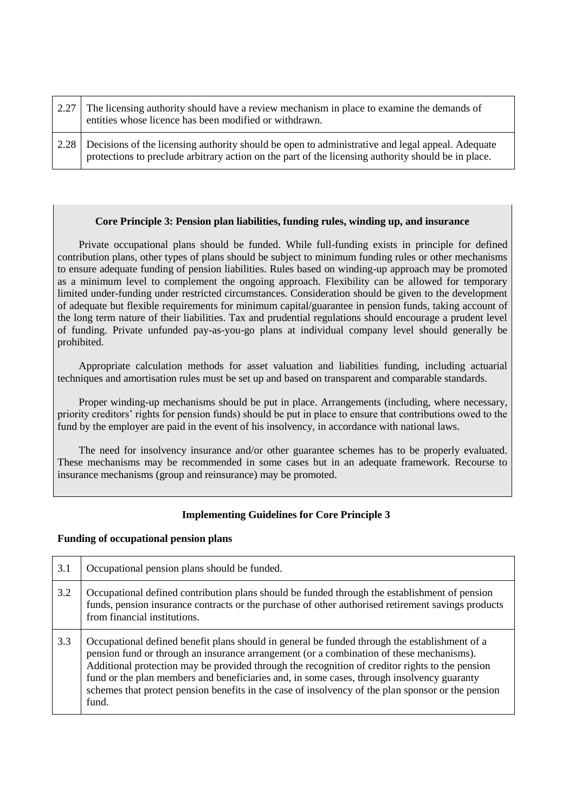| 2.27 | The licensing authority should have a review mechanism in place to examine the demands of<br>entities whose licence has been modified or withdrawn.                                                     |
|------|---------------------------------------------------------------------------------------------------------------------------------------------------------------------------------------------------------|
| 2.28 | Decisions of the licensing authority should be open to administrative and legal appeal. Adequate<br>protections to preclude arbitrary action on the part of the licensing authority should be in place. |

### **Core Principle 3: Pension plan liabilities, funding rules, winding up, and insurance**

Private occupational plans should be funded. While full-funding exists in principle for defined contribution plans, other types of plans should be subject to minimum funding rules or other mechanisms to ensure adequate funding of pension liabilities. Rules based on winding-up approach may be promoted as a minimum level to complement the ongoing approach. Flexibility can be allowed for temporary limited under-funding under restricted circumstances. Consideration should be given to the development of adequate but flexible requirements for minimum capital/guarantee in pension funds, taking account of the long term nature of their liabilities. Tax and prudential regulations should encourage a prudent level of funding. Private unfunded pay-as-you-go plans at individual company level should generally be prohibited.

Appropriate calculation methods for asset valuation and liabilities funding, including actuarial techniques and amortisation rules must be set up and based on transparent and comparable standards.

Proper winding-up mechanisms should be put in place. Arrangements (including, where necessary, priority creditors' rights for pension funds) should be put in place to ensure that contributions owed to the fund by the employer are paid in the event of his insolvency, in accordance with national laws.

The need for insolvency insurance and/or other guarantee schemes has to be properly evaluated. These mechanisms may be recommended in some cases but in an adequate framework. Recourse to insurance mechanisms (group and reinsurance) may be promoted.

### **Implementing Guidelines for Core Principle 3**

### **Funding of occupational pension plans**

| 3.1 | Occupational pension plans should be funded.                                                                                                                                                                                                                                                                                                                                                                                                                                                              |
|-----|-----------------------------------------------------------------------------------------------------------------------------------------------------------------------------------------------------------------------------------------------------------------------------------------------------------------------------------------------------------------------------------------------------------------------------------------------------------------------------------------------------------|
| 3.2 | Occupational defined contribution plans should be funded through the establishment of pension<br>funds, pension insurance contracts or the purchase of other authorised retirement savings products<br>from financial institutions.                                                                                                                                                                                                                                                                       |
| 3.3 | Occupational defined benefit plans should in general be funded through the establishment of a<br>pension fund or through an insurance arrangement (or a combination of these mechanisms).<br>Additional protection may be provided through the recognition of creditor rights to the pension<br>fund or the plan members and beneficiaries and, in some cases, through insolvency guaranty<br>schemes that protect pension benefits in the case of insolvency of the plan sponsor or the pension<br>fund. |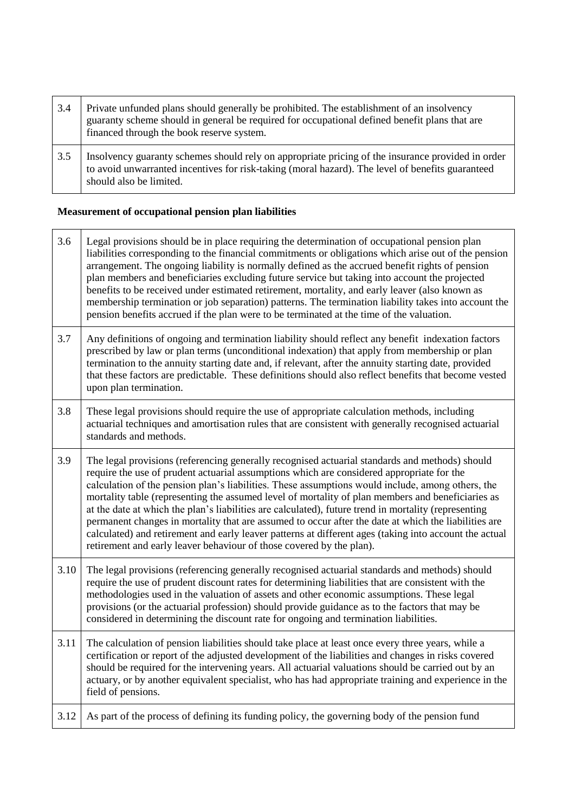| 3.4 | Private unfunded plans should generally be prohibited. The establishment of an insolvency<br>guaranty scheme should in general be required for occupational defined benefit plans that are<br>financed through the book reserve system. |
|-----|-----------------------------------------------------------------------------------------------------------------------------------------------------------------------------------------------------------------------------------------|
| 3.5 | Insolvency guaranty schemes should rely on appropriate pricing of the insurance provided in order<br>to avoid unwarranted incentives for risk-taking (moral hazard). The level of benefits guaranteed<br>should also be limited.        |

# **Measurement of occupational pension plan liabilities**

Ē

| 3.6  | Legal provisions should be in place requiring the determination of occupational pension plan<br>liabilities corresponding to the financial commitments or obligations which arise out of the pension<br>arrangement. The ongoing liability is normally defined as the accrued benefit rights of pension<br>plan members and beneficiaries excluding future service but taking into account the projected<br>benefits to be received under estimated retirement, mortality, and early leaver (also known as<br>membership termination or job separation) patterns. The termination liability takes into account the<br>pension benefits accrued if the plan were to be terminated at the time of the valuation.                                                                                          |
|------|---------------------------------------------------------------------------------------------------------------------------------------------------------------------------------------------------------------------------------------------------------------------------------------------------------------------------------------------------------------------------------------------------------------------------------------------------------------------------------------------------------------------------------------------------------------------------------------------------------------------------------------------------------------------------------------------------------------------------------------------------------------------------------------------------------|
| 3.7  | Any definitions of ongoing and termination liability should reflect any benefit indexation factors<br>prescribed by law or plan terms (unconditional indexation) that apply from membership or plan<br>termination to the annuity starting date and, if relevant, after the annuity starting date, provided<br>that these factors are predictable. These definitions should also reflect benefits that become vested<br>upon plan termination.                                                                                                                                                                                                                                                                                                                                                          |
| 3.8  | These legal provisions should require the use of appropriate calculation methods, including<br>actuarial techniques and amortisation rules that are consistent with generally recognised actuarial<br>standards and methods.                                                                                                                                                                                                                                                                                                                                                                                                                                                                                                                                                                            |
| 3.9  | The legal provisions (referencing generally recognised actuarial standards and methods) should<br>require the use of prudent actuarial assumptions which are considered appropriate for the<br>calculation of the pension plan's liabilities. These assumptions would include, among others, the<br>mortality table (representing the assumed level of mortality of plan members and beneficiaries as<br>at the date at which the plan's liabilities are calculated), future trend in mortality (representing<br>permanent changes in mortality that are assumed to occur after the date at which the liabilities are<br>calculated) and retirement and early leaver patterns at different ages (taking into account the actual<br>retirement and early leaver behaviour of those covered by the plan). |
| 3.10 | The legal provisions (referencing generally recognised actuarial standards and methods) should<br>require the use of prudent discount rates for determining liabilities that are consistent with the<br>methodologies used in the valuation of assets and other economic assumptions. These legal<br>provisions (or the actuarial profession) should provide guidance as to the factors that may be<br>considered in determining the discount rate for ongoing and termination liabilities.                                                                                                                                                                                                                                                                                                             |
| 3.11 | The calculation of pension liabilities should take place at least once every three years, while a<br>certification or report of the adjusted development of the liabilities and changes in risks covered<br>should be required for the intervening years. All actuarial valuations should be carried out by an<br>actuary, or by another equivalent specialist, who has had appropriate training and experience in the<br>field of pensions.                                                                                                                                                                                                                                                                                                                                                            |
| 3.12 | As part of the process of defining its funding policy, the governing body of the pension fund                                                                                                                                                                                                                                                                                                                                                                                                                                                                                                                                                                                                                                                                                                           |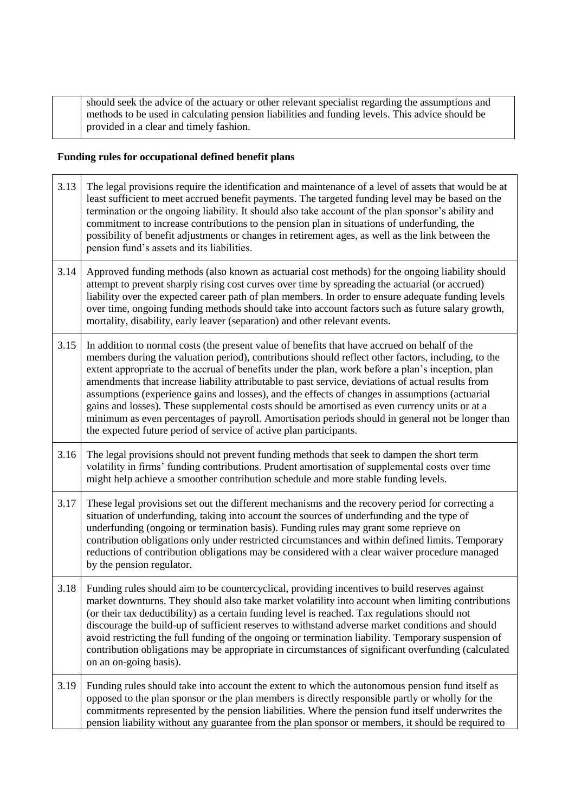should seek the advice of the actuary or other relevant specialist regarding the assumptions and methods to be used in calculating pension liabilities and funding levels. This advice should be provided in a clear and timely fashion.

# **Funding rules for occupational defined benefit plans**

| 3.13 | The legal provisions require the identification and maintenance of a level of assets that would be at<br>least sufficient to meet accrued benefit payments. The targeted funding level may be based on the<br>termination or the ongoing liability. It should also take account of the plan sponsor's ability and<br>commitment to increase contributions to the pension plan in situations of underfunding, the<br>possibility of benefit adjustments or changes in retirement ages, as well as the link between the<br>pension fund's assets and its liabilities.                                                                                                                                                                                                                              |
|------|--------------------------------------------------------------------------------------------------------------------------------------------------------------------------------------------------------------------------------------------------------------------------------------------------------------------------------------------------------------------------------------------------------------------------------------------------------------------------------------------------------------------------------------------------------------------------------------------------------------------------------------------------------------------------------------------------------------------------------------------------------------------------------------------------|
| 3.14 | Approved funding methods (also known as actuarial cost methods) for the ongoing liability should<br>attempt to prevent sharply rising cost curves over time by spreading the actuarial (or accrued)<br>liability over the expected career path of plan members. In order to ensure adequate funding levels<br>over time, ongoing funding methods should take into account factors such as future salary growth,<br>mortality, disability, early leaver (separation) and other relevant events.                                                                                                                                                                                                                                                                                                   |
| 3.15 | In addition to normal costs (the present value of benefits that have accrued on behalf of the<br>members during the valuation period), contributions should reflect other factors, including, to the<br>extent appropriate to the accrual of benefits under the plan, work before a plan's inception, plan<br>amendments that increase liability attributable to past service, deviations of actual results from<br>assumptions (experience gains and losses), and the effects of changes in assumptions (actuarial<br>gains and losses). These supplemental costs should be amortised as even currency units or at a<br>minimum as even percentages of payroll. Amortisation periods should in general not be longer than<br>the expected future period of service of active plan participants. |
| 3.16 | The legal provisions should not prevent funding methods that seek to dampen the short term<br>volatility in firms' funding contributions. Prudent amortisation of supplemental costs over time<br>might help achieve a smoother contribution schedule and more stable funding levels.                                                                                                                                                                                                                                                                                                                                                                                                                                                                                                            |
| 3.17 | These legal provisions set out the different mechanisms and the recovery period for correcting a<br>situation of underfunding, taking into account the sources of underfunding and the type of<br>underfunding (ongoing or termination basis). Funding rules may grant some reprieve on<br>contribution obligations only under restricted circumstances and within defined limits. Temporary<br>reductions of contribution obligations may be considered with a clear waiver procedure managed<br>by the pension regulator.                                                                                                                                                                                                                                                                      |
| 3.18 | Funding rules should aim to be countercyclical, providing incentives to build reserves against<br>market downturns. They should also take market volatility into account when limiting contributions<br>(or their tax deductibility) as a certain funding level is reached. Tax regulations should not<br>discourage the build-up of sufficient reserves to withstand adverse market conditions and should<br>avoid restricting the full funding of the ongoing or termination liability. Temporary suspension of<br>contribution obligations may be appropriate in circumstances of significant overfunding (calculated<br>on an on-going basis).                                                                                                                                               |
| 3.19 | Funding rules should take into account the extent to which the autonomous pension fund itself as<br>opposed to the plan sponsor or the plan members is directly responsible partly or wholly for the<br>commitments represented by the pension liabilities. Where the pension fund itself underwrites the<br>pension liability without any guarantee from the plan sponsor or members, it should be required to                                                                                                                                                                                                                                                                                                                                                                                  |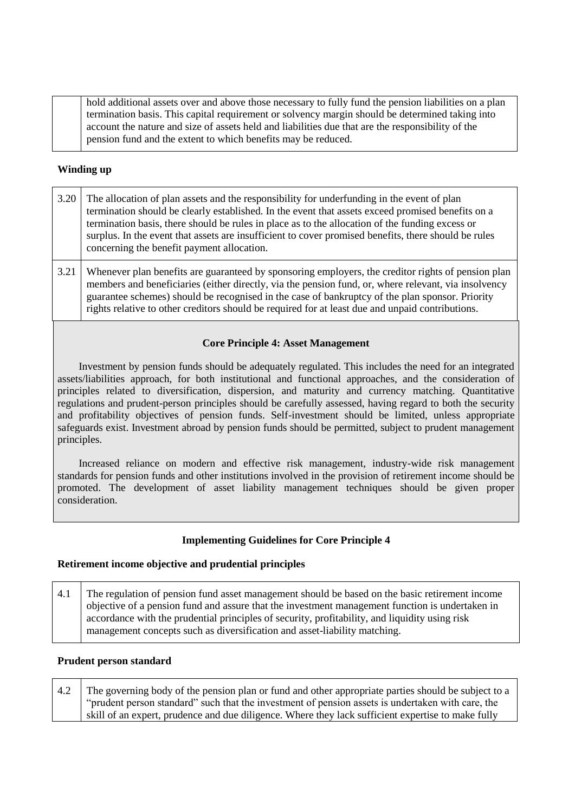hold additional assets over and above those necessary to fully fund the pension liabilities on a plan termination basis. This capital requirement or solvency margin should be determined taking into account the nature and size of assets held and liabilities due that are the responsibility of the pension fund and the extent to which benefits may be reduced.

### **Winding up**

| 3.20 | The allocation of plan assets and the responsibility for underfunding in the event of plan<br>termination should be clearly established. In the event that assets exceed promised benefits on a<br>termination basis, there should be rules in place as to the allocation of the funding excess or<br>surplus. In the event that assets are insufficient to cover promised benefits, there should be rules<br>concerning the benefit payment allocation. |
|------|----------------------------------------------------------------------------------------------------------------------------------------------------------------------------------------------------------------------------------------------------------------------------------------------------------------------------------------------------------------------------------------------------------------------------------------------------------|
| 3.21 | Whenever plan benefits are guaranteed by sponsoring employers, the creditor rights of pension plan<br>members and beneficiaries (either directly, via the pension fund, or, where relevant, via insolvency<br>guarantee schemes) should be recognised in the case of bankruptcy of the plan sponsor. Priority                                                                                                                                            |

### **Core Principle 4: Asset Management**

rights relative to other creditors should be required for at least due and unpaid contributions.

Investment by pension funds should be adequately regulated. This includes the need for an integrated assets/liabilities approach, for both institutional and functional approaches, and the consideration of principles related to diversification, dispersion, and maturity and currency matching. Quantitative regulations and prudent-person principles should be carefully assessed, having regard to both the security and profitability objectives of pension funds. Self-investment should be limited, unless appropriate safeguards exist. Investment abroad by pension funds should be permitted, subject to prudent management principles.

Increased reliance on modern and effective risk management, industry-wide risk management standards for pension funds and other institutions involved in the provision of retirement income should be promoted. The development of asset liability management techniques should be given proper consideration.

### **Implementing Guidelines for Core Principle 4**

### **Retirement income objective and prudential principles**

| 4.1 | The regulation of pension fund asset management should be based on the basic retirement income  |
|-----|-------------------------------------------------------------------------------------------------|
|     | objective of a pension fund and assure that the investment management function is undertaken in |
|     | accordance with the prudential principles of security, profitability, and liquidity using risk  |
|     | management concepts such as diversification and asset-liability matching.                       |

### **Prudent person standard**

| 4.2 | The governing body of the pension plan or fund and other appropriate parties should be subject to a |
|-----|-----------------------------------------------------------------------------------------------------|
|     | "prudent person standard" such that the investment of pension assets is undertaken with care, the   |
|     | skill of an expert, prudence and due diligence. Where they lack sufficient expertise to make fully  |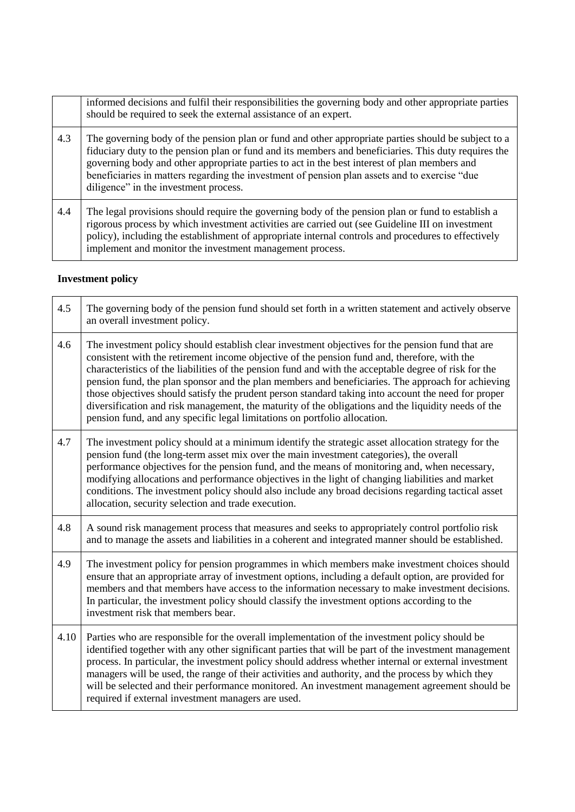|     | informed decisions and fulfil their responsibilities the governing body and other appropriate parties<br>should be required to seek the external assistance of an expert.                                                                                                                                                                                                                                                                             |
|-----|-------------------------------------------------------------------------------------------------------------------------------------------------------------------------------------------------------------------------------------------------------------------------------------------------------------------------------------------------------------------------------------------------------------------------------------------------------|
| 4.3 | The governing body of the pension plan or fund and other appropriate parties should be subject to a<br>fiduciary duty to the pension plan or fund and its members and beneficiaries. This duty requires the<br>governing body and other appropriate parties to act in the best interest of plan members and<br>beneficiaries in matters regarding the investment of pension plan assets and to exercise "due<br>diligence" in the investment process. |
| 4.4 | The legal provisions should require the governing body of the pension plan or fund to establish a<br>rigorous process by which investment activities are carried out (see Guideline III on investment<br>policy), including the establishment of appropriate internal controls and procedures to effectively<br>implement and monitor the investment management process.                                                                              |

# **Investment policy**

| 4.5  | The governing body of the pension fund should set forth in a written statement and actively observe<br>an overall investment policy.                                                                                                                                                                                                                                                                                                                                                                                                                                                                                                                                                                      |
|------|-----------------------------------------------------------------------------------------------------------------------------------------------------------------------------------------------------------------------------------------------------------------------------------------------------------------------------------------------------------------------------------------------------------------------------------------------------------------------------------------------------------------------------------------------------------------------------------------------------------------------------------------------------------------------------------------------------------|
| 4.6  | The investment policy should establish clear investment objectives for the pension fund that are<br>consistent with the retirement income objective of the pension fund and, therefore, with the<br>characteristics of the liabilities of the pension fund and with the acceptable degree of risk for the<br>pension fund, the plan sponsor and the plan members and beneficiaries. The approach for achieving<br>those objectives should satisfy the prudent person standard taking into account the need for proper<br>diversification and risk management, the maturity of the obligations and the liquidity needs of the<br>pension fund, and any specific legal limitations on portfolio allocation. |
| 4.7  | The investment policy should at a minimum identify the strategic asset allocation strategy for the<br>pension fund (the long-term asset mix over the main investment categories), the overall<br>performance objectives for the pension fund, and the means of monitoring and, when necessary,<br>modifying allocations and performance objectives in the light of changing liabilities and market<br>conditions. The investment policy should also include any broad decisions regarding tactical asset<br>allocation, security selection and trade execution.                                                                                                                                           |
| 4.8  | A sound risk management process that measures and seeks to appropriately control portfolio risk<br>and to manage the assets and liabilities in a coherent and integrated manner should be established.                                                                                                                                                                                                                                                                                                                                                                                                                                                                                                    |
| 4.9  | The investment policy for pension programmes in which members make investment choices should<br>ensure that an appropriate array of investment options, including a default option, are provided for<br>members and that members have access to the information necessary to make investment decisions.<br>In particular, the investment policy should classify the investment options according to the<br>investment risk that members bear.                                                                                                                                                                                                                                                             |
| 4.10 | Parties who are responsible for the overall implementation of the investment policy should be<br>identified together with any other significant parties that will be part of the investment management<br>process. In particular, the investment policy should address whether internal or external investment<br>managers will be used, the range of their activities and authority, and the process by which they<br>will be selected and their performance monitored. An investment management agreement should be<br>required if external investment managers are used.                                                                                                                               |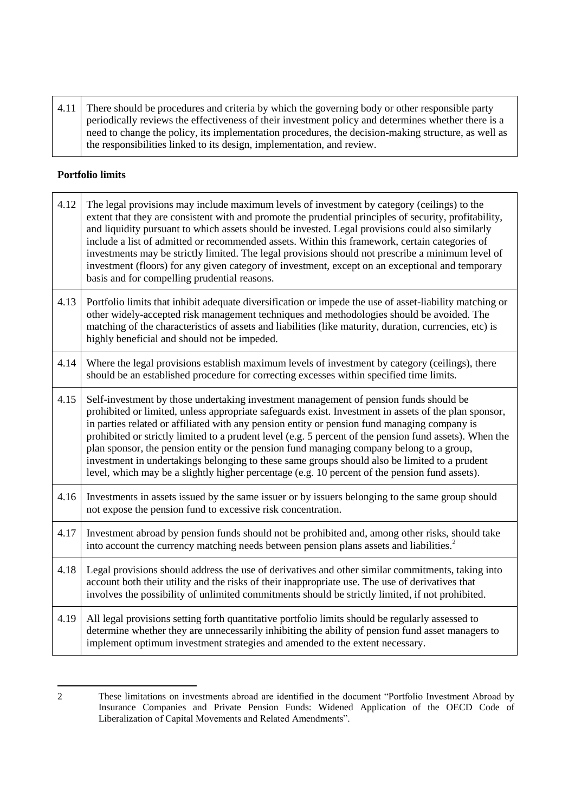4.11 There should be procedures and criteria by which the governing body or other responsible party periodically reviews the effectiveness of their investment policy and determines whether there is a need to change the policy, its implementation procedures, the decision-making structure, as well as the responsibilities linked to its design, implementation, and review.

### **Portfolio limits**

| 4.12 | The legal provisions may include maximum levels of investment by category (ceilings) to the<br>extent that they are consistent with and promote the prudential principles of security, profitability,<br>and liquidity pursuant to which assets should be invested. Legal provisions could also similarly<br>include a list of admitted or recommended assets. Within this framework, certain categories of<br>investments may be strictly limited. The legal provisions should not prescribe a minimum level of<br>investment (floors) for any given category of investment, except on an exceptional and temporary<br>basis and for compelling prudential reasons.                                     |
|------|----------------------------------------------------------------------------------------------------------------------------------------------------------------------------------------------------------------------------------------------------------------------------------------------------------------------------------------------------------------------------------------------------------------------------------------------------------------------------------------------------------------------------------------------------------------------------------------------------------------------------------------------------------------------------------------------------------|
| 4.13 | Portfolio limits that inhibit adequate diversification or impede the use of asset-liability matching or<br>other widely-accepted risk management techniques and methodologies should be avoided. The<br>matching of the characteristics of assets and liabilities (like maturity, duration, currencies, etc) is<br>highly beneficial and should not be impeded.                                                                                                                                                                                                                                                                                                                                          |
| 4.14 | Where the legal provisions establish maximum levels of investment by category (ceilings), there<br>should be an established procedure for correcting excesses within specified time limits.                                                                                                                                                                                                                                                                                                                                                                                                                                                                                                              |
| 4.15 | Self-investment by those undertaking investment management of pension funds should be<br>prohibited or limited, unless appropriate safeguards exist. Investment in assets of the plan sponsor,<br>in parties related or affiliated with any pension entity or pension fund managing company is<br>prohibited or strictly limited to a prudent level (e.g. 5 percent of the pension fund assets). When the<br>plan sponsor, the pension entity or the pension fund managing company belong to a group,<br>investment in undertakings belonging to these same groups should also be limited to a prudent<br>level, which may be a slightly higher percentage (e.g. 10 percent of the pension fund assets). |
| 4.16 | Investments in assets issued by the same issuer or by issuers belonging to the same group should<br>not expose the pension fund to excessive risk concentration.                                                                                                                                                                                                                                                                                                                                                                                                                                                                                                                                         |
| 4.17 | Investment abroad by pension funds should not be prohibited and, among other risks, should take<br>into account the currency matching needs between pension plans assets and liabilities. <sup>2</sup>                                                                                                                                                                                                                                                                                                                                                                                                                                                                                                   |
| 4.18 | Legal provisions should address the use of derivatives and other similar commitments, taking into<br>account both their utility and the risks of their inappropriate use. The use of derivatives that<br>involves the possibility of unlimited commitments should be strictly limited, if not prohibited.                                                                                                                                                                                                                                                                                                                                                                                                |
| 4.19 | All legal provisions setting forth quantitative portfolio limits should be regularly assessed to<br>determine whether they are unnecessarily inhibiting the ability of pension fund asset managers to<br>implement optimum investment strategies and amended to the extent necessary.                                                                                                                                                                                                                                                                                                                                                                                                                    |

 2 These limitations on investments abroad are identified in the document "Portfolio Investment Abroad by Insurance Companies and Private Pension Funds: Widened Application of the OECD Code of Liberalization of Capital Movements and Related Amendments".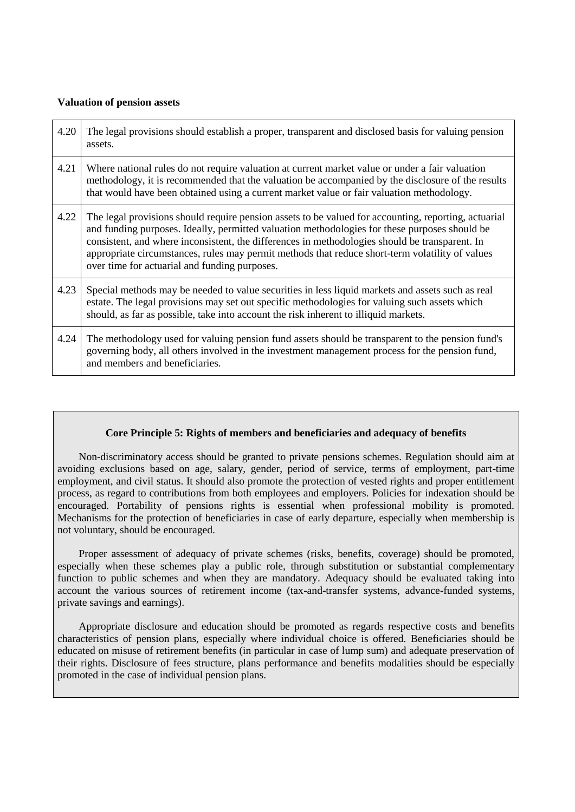#### **Valuation of pension assets**

| 4.20 | The legal provisions should establish a proper, transparent and disclosed basis for valuing pension<br>assets.                                                                                                                                                                                                                                                                                                                                              |
|------|-------------------------------------------------------------------------------------------------------------------------------------------------------------------------------------------------------------------------------------------------------------------------------------------------------------------------------------------------------------------------------------------------------------------------------------------------------------|
| 4.21 | Where national rules do not require valuation at current market value or under a fair valuation<br>methodology, it is recommended that the valuation be accompanied by the disclosure of the results<br>that would have been obtained using a current market value or fair valuation methodology.                                                                                                                                                           |
| 4.22 | The legal provisions should require pension assets to be valued for accounting, reporting, actuarial<br>and funding purposes. Ideally, permitted valuation methodologies for these purposes should be<br>consistent, and where inconsistent, the differences in methodologies should be transparent. In<br>appropriate circumstances, rules may permit methods that reduce short-term volatility of values<br>over time for actuarial and funding purposes. |
| 4.23 | Special methods may be needed to value securities in less liquid markets and assets such as real<br>estate. The legal provisions may set out specific methodologies for valuing such assets which<br>should, as far as possible, take into account the risk inherent to illiquid markets.                                                                                                                                                                   |
| 4.24 | The methodology used for valuing pension fund assets should be transparent to the pension fund's<br>governing body, all others involved in the investment management process for the pension fund,<br>and members and beneficiaries.                                                                                                                                                                                                                        |

### **Core Principle 5: Rights of members and beneficiaries and adequacy of benefits**

Non-discriminatory access should be granted to private pensions schemes. Regulation should aim at avoiding exclusions based on age, salary, gender, period of service, terms of employment, part-time employment, and civil status. It should also promote the protection of vested rights and proper entitlement process, as regard to contributions from both employees and employers. Policies for indexation should be encouraged. Portability of pensions rights is essential when professional mobility is promoted. Mechanisms for the protection of beneficiaries in case of early departure, especially when membership is not voluntary, should be encouraged.

Proper assessment of adequacy of private schemes (risks, benefits, coverage) should be promoted, especially when these schemes play a public role, through substitution or substantial complementary function to public schemes and when they are mandatory. Adequacy should be evaluated taking into account the various sources of retirement income (tax-and-transfer systems, advance-funded systems, private savings and earnings).

Appropriate disclosure and education should be promoted as regards respective costs and benefits characteristics of pension plans, especially where individual choice is offered. Beneficiaries should be educated on misuse of retirement benefits (in particular in case of lump sum) and adequate preservation of their rights. Disclosure of fees structure, plans performance and benefits modalities should be especially promoted in the case of individual pension plans.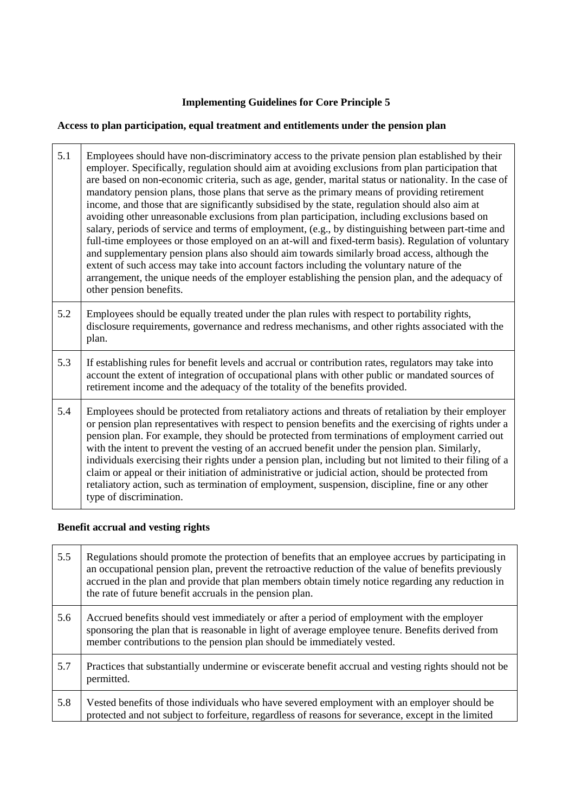# **Implementing Guidelines for Core Principle 5**

# **Access to plan participation, equal treatment and entitlements under the pension plan**

| 5.1 | Employees should have non-discriminatory access to the private pension plan established by their<br>employer. Specifically, regulation should aim at avoiding exclusions from plan participation that<br>are based on non-economic criteria, such as age, gender, marital status or nationality. In the case of<br>mandatory pension plans, those plans that serve as the primary means of providing retirement<br>income, and those that are significantly subsidised by the state, regulation should also aim at<br>avoiding other unreasonable exclusions from plan participation, including exclusions based on<br>salary, periods of service and terms of employment, (e.g., by distinguishing between part-time and<br>full-time employees or those employed on an at-will and fixed-term basis). Regulation of voluntary<br>and supplementary pension plans also should aim towards similarly broad access, although the<br>extent of such access may take into account factors including the voluntary nature of the<br>arrangement, the unique needs of the employer establishing the pension plan, and the adequacy of<br>other pension benefits. |
|-----|-------------------------------------------------------------------------------------------------------------------------------------------------------------------------------------------------------------------------------------------------------------------------------------------------------------------------------------------------------------------------------------------------------------------------------------------------------------------------------------------------------------------------------------------------------------------------------------------------------------------------------------------------------------------------------------------------------------------------------------------------------------------------------------------------------------------------------------------------------------------------------------------------------------------------------------------------------------------------------------------------------------------------------------------------------------------------------------------------------------------------------------------------------------|
| 5.2 | Employees should be equally treated under the plan rules with respect to portability rights,<br>disclosure requirements, governance and redress mechanisms, and other rights associated with the<br>plan.                                                                                                                                                                                                                                                                                                                                                                                                                                                                                                                                                                                                                                                                                                                                                                                                                                                                                                                                                   |
| 5.3 | If establishing rules for benefit levels and accrual or contribution rates, regulators may take into<br>account the extent of integration of occupational plans with other public or mandated sources of<br>retirement income and the adequacy of the totality of the benefits provided.                                                                                                                                                                                                                                                                                                                                                                                                                                                                                                                                                                                                                                                                                                                                                                                                                                                                    |
| 5.4 | Employees should be protected from retaliatory actions and threats of retaliation by their employer<br>or pension plan representatives with respect to pension benefits and the exercising of rights under a<br>pension plan. For example, they should be protected from terminations of employment carried out<br>with the intent to prevent the vesting of an accrued benefit under the pension plan. Similarly,<br>individuals exercising their rights under a pension plan, including but not limited to their filing of a<br>claim or appeal or their initiation of administrative or judicial action, should be protected from<br>retaliatory action, such as termination of employment, suspension, discipline, fine or any other<br>type of discrimination.                                                                                                                                                                                                                                                                                                                                                                                         |

# **Benefit accrual and vesting rights**

r

| 5.5 | Regulations should promote the protection of benefits that an employee accrues by participating in<br>an occupational pension plan, prevent the retroactive reduction of the value of benefits previously<br>accrued in the plan and provide that plan members obtain timely notice regarding any reduction in<br>the rate of future benefit accruals in the pension plan. |
|-----|----------------------------------------------------------------------------------------------------------------------------------------------------------------------------------------------------------------------------------------------------------------------------------------------------------------------------------------------------------------------------|
| 5.6 | Accrued benefits should vest immediately or after a period of employment with the employer<br>sponsoring the plan that is reasonable in light of average employee tenure. Benefits derived from<br>member contributions to the pension plan should be immediately vested.                                                                                                  |
| 5.7 | Practices that substantially undermine or eviscerate benefit accrual and vesting rights should not be<br>permitted.                                                                                                                                                                                                                                                        |
| 5.8 | Vested benefits of those individuals who have severed employment with an employer should be<br>protected and not subject to forfeiture, regardless of reasons for severance, except in the limited                                                                                                                                                                         |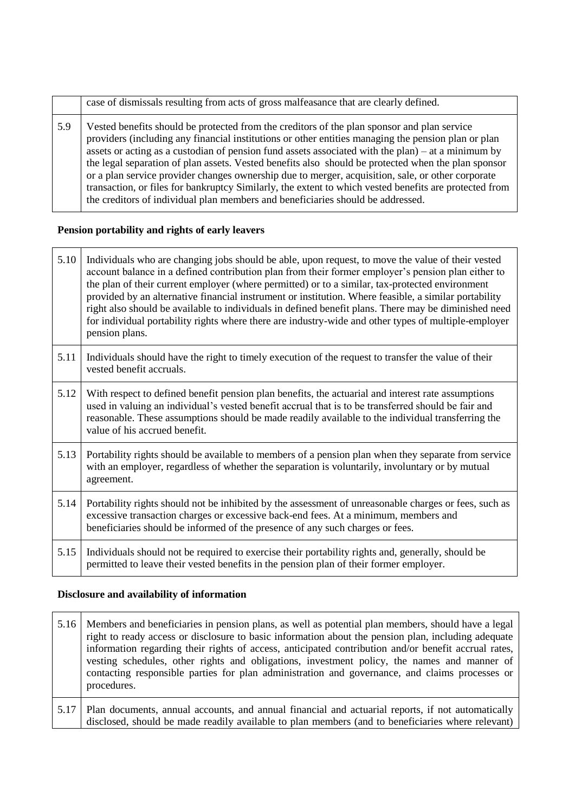|     | case of dismissals resulting from acts of gross malfeasance that are clearly defined.                                                                                                                                                                                                                                                                                                                                                                                                                                                                                                                                                                                                                             |
|-----|-------------------------------------------------------------------------------------------------------------------------------------------------------------------------------------------------------------------------------------------------------------------------------------------------------------------------------------------------------------------------------------------------------------------------------------------------------------------------------------------------------------------------------------------------------------------------------------------------------------------------------------------------------------------------------------------------------------------|
| 5.9 | Vested benefits should be protected from the creditors of the plan sponsor and plan service<br>providers (including any financial institutions or other entities managing the pension plan or plan<br>assets or acting as a custodian of pension fund assets associated with the plan) – at a minimum by<br>the legal separation of plan assets. Vested benefits also should be protected when the plan sponsor<br>or a plan service provider changes ownership due to merger, acquisition, sale, or other corporate<br>transaction, or files for bankruptcy Similarly, the extent to which vested benefits are protected from<br>the creditors of individual plan members and beneficiaries should be addressed. |

# **Pension portability and rights of early leavers**

| 5.10 | Individuals who are changing jobs should be able, upon request, to move the value of their vested<br>account balance in a defined contribution plan from their former employer's pension plan either to<br>the plan of their current employer (where permitted) or to a similar, tax-protected environment<br>provided by an alternative financial instrument or institution. Where feasible, a similar portability<br>right also should be available to individuals in defined benefit plans. There may be diminished need<br>for individual portability rights where there are industry-wide and other types of multiple-employer<br>pension plans. |
|------|-------------------------------------------------------------------------------------------------------------------------------------------------------------------------------------------------------------------------------------------------------------------------------------------------------------------------------------------------------------------------------------------------------------------------------------------------------------------------------------------------------------------------------------------------------------------------------------------------------------------------------------------------------|
| 5.11 | Individuals should have the right to timely execution of the request to transfer the value of their<br>vested benefit accruals.                                                                                                                                                                                                                                                                                                                                                                                                                                                                                                                       |
| 5.12 | With respect to defined benefit pension plan benefits, the actuarial and interest rate assumptions<br>used in valuing an individual's vested benefit accrual that is to be transferred should be fair and<br>reasonable. These assumptions should be made readily available to the individual transferring the<br>value of his accrued benefit.                                                                                                                                                                                                                                                                                                       |
| 5.13 | Portability rights should be available to members of a pension plan when they separate from service<br>with an employer, regardless of whether the separation is voluntarily, involuntary or by mutual<br>agreement.                                                                                                                                                                                                                                                                                                                                                                                                                                  |
| 5.14 | Portability rights should not be inhibited by the assessment of unreasonable charges or fees, such as<br>excessive transaction charges or excessive back-end fees. At a minimum, members and<br>beneficiaries should be informed of the presence of any such charges or fees.                                                                                                                                                                                                                                                                                                                                                                         |
| 5.15 | Individuals should not be required to exercise their portability rights and, generally, should be<br>permitted to leave their vested benefits in the pension plan of their former employer.                                                                                                                                                                                                                                                                                                                                                                                                                                                           |

# **Disclosure and availability of information**

| 5.16 | Members and beneficiaries in pension plans, as well as potential plan members, should have a legal<br>right to ready access or disclosure to basic information about the pension plan, including adequate<br>information regarding their rights of access, anticipated contribution and/or benefit accrual rates,<br>vesting schedules, other rights and obligations, investment policy, the names and manner of<br>contacting responsible parties for plan administration and governance, and claims processes or<br>procedures. |
|------|-----------------------------------------------------------------------------------------------------------------------------------------------------------------------------------------------------------------------------------------------------------------------------------------------------------------------------------------------------------------------------------------------------------------------------------------------------------------------------------------------------------------------------------|
| 5.17 | Plan documents, annual accounts, and annual financial and actuarial reports, if not automatically<br>disclosed, should be made readily available to plan members (and to beneficiaries where relevant)                                                                                                                                                                                                                                                                                                                            |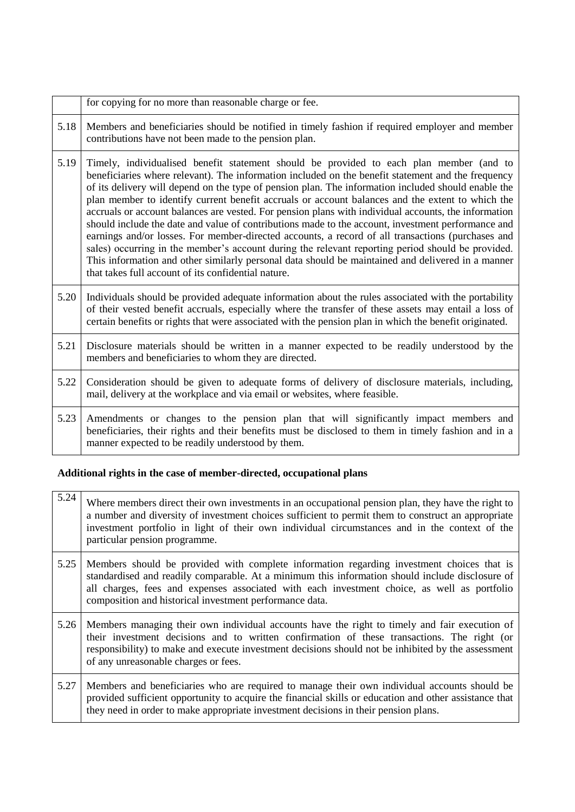|      | for copying for no more than reasonable charge or fee.                                                                                                                                                                                                                                                                                                                                                                                                                                                                                                                                                                                                                                                                                                                                                                                                                                                                                                                                       |
|------|----------------------------------------------------------------------------------------------------------------------------------------------------------------------------------------------------------------------------------------------------------------------------------------------------------------------------------------------------------------------------------------------------------------------------------------------------------------------------------------------------------------------------------------------------------------------------------------------------------------------------------------------------------------------------------------------------------------------------------------------------------------------------------------------------------------------------------------------------------------------------------------------------------------------------------------------------------------------------------------------|
| 5.18 | Members and beneficiaries should be notified in timely fashion if required employer and member<br>contributions have not been made to the pension plan.                                                                                                                                                                                                                                                                                                                                                                                                                                                                                                                                                                                                                                                                                                                                                                                                                                      |
| 5.19 | Timely, individualised benefit statement should be provided to each plan member (and to<br>beneficiaries where relevant). The information included on the benefit statement and the frequency<br>of its delivery will depend on the type of pension plan. The information included should enable the<br>plan member to identify current benefit accruals or account balances and the extent to which the<br>accruals or account balances are vested. For pension plans with individual accounts, the information<br>should include the date and value of contributions made to the account, investment performance and<br>earnings and/or losses. For member-directed accounts, a record of all transactions (purchases and<br>sales) occurring in the member's account during the relevant reporting period should be provided.<br>This information and other similarly personal data should be maintained and delivered in a manner<br>that takes full account of its confidential nature. |
| 5.20 | Individuals should be provided adequate information about the rules associated with the portability<br>of their vested benefit accruals, especially where the transfer of these assets may entail a loss of<br>certain benefits or rights that were associated with the pension plan in which the benefit originated.                                                                                                                                                                                                                                                                                                                                                                                                                                                                                                                                                                                                                                                                        |
| 5.21 | Disclosure materials should be written in a manner expected to be readily understood by the<br>members and beneficiaries to whom they are directed.                                                                                                                                                                                                                                                                                                                                                                                                                                                                                                                                                                                                                                                                                                                                                                                                                                          |
| 5.22 | Consideration should be given to adequate forms of delivery of disclosure materials, including,<br>mail, delivery at the workplace and via email or websites, where feasible.                                                                                                                                                                                                                                                                                                                                                                                                                                                                                                                                                                                                                                                                                                                                                                                                                |
| 5.23 | Amendments or changes to the pension plan that will significantly impact members and<br>beneficiaries, their rights and their benefits must be disclosed to them in timely fashion and in a<br>manner expected to be readily understood by them.                                                                                                                                                                                                                                                                                                                                                                                                                                                                                                                                                                                                                                                                                                                                             |

# **Additional rights in the case of member-directed, occupational plans**

| 5.24 | Where members direct their own investments in an occupational pension plan, they have the right to<br>a number and diversity of investment choices sufficient to permit them to construct an appropriate<br>investment portfolio in light of their own individual circumstances and in the context of the<br>particular pension programme.             |
|------|--------------------------------------------------------------------------------------------------------------------------------------------------------------------------------------------------------------------------------------------------------------------------------------------------------------------------------------------------------|
| 5.25 | Members should be provided with complete information regarding investment choices that is<br>standardised and readily comparable. At a minimum this information should include disclosure of<br>all charges, fees and expenses associated with each investment choice, as well as portfolio<br>composition and historical investment performance data. |
| 5.26 | Members managing their own individual accounts have the right to timely and fair execution of<br>their investment decisions and to written confirmation of these transactions. The right (or<br>responsibility) to make and execute investment decisions should not be inhibited by the assessment<br>of any unreasonable charges or fees.             |
| 5.27 | Members and beneficiaries who are required to manage their own individual accounts should be<br>provided sufficient opportunity to acquire the financial skills or education and other assistance that<br>they need in order to make appropriate investment decisions in their pension plans.                                                          |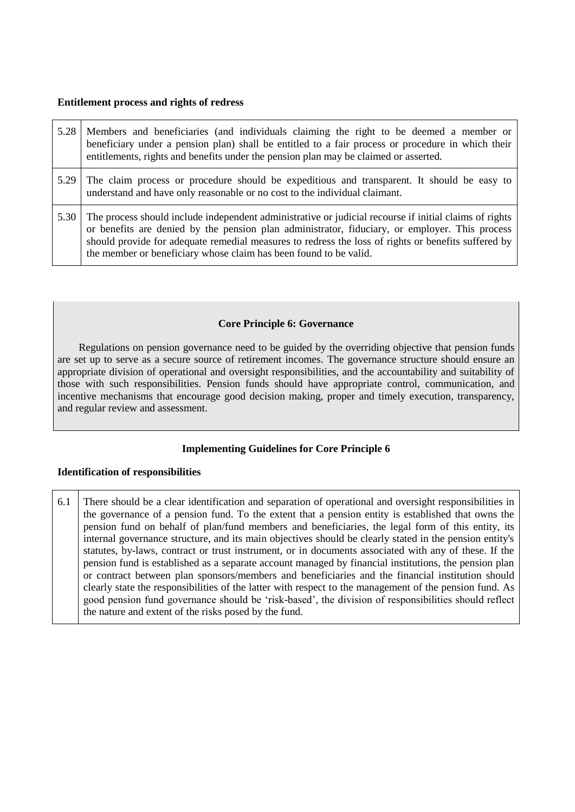### **Entitlement process and rights of redress**

|      | 5.28   Members and beneficiaries (and individuals claiming the right to be deemed a member or<br>beneficiary under a pension plan) shall be entitled to a fair process or procedure in which their<br>entitlements, rights and benefits under the pension plan may be claimed or asserted.                                                                                           |
|------|--------------------------------------------------------------------------------------------------------------------------------------------------------------------------------------------------------------------------------------------------------------------------------------------------------------------------------------------------------------------------------------|
|      | 5.29 The claim process or procedure should be expeditious and transparent. It should be easy to<br>understand and have only reasonable or no cost to the individual claimant.                                                                                                                                                                                                        |
| 5.30 | The process should include independent administrative or judicial recourse if initial claims of rights<br>or benefits are denied by the pension plan administrator, fiduciary, or employer. This process<br>should provide for adequate remedial measures to redress the loss of rights or benefits suffered by<br>the member or beneficiary whose claim has been found to be valid. |

### **Core Principle 6: Governance**

Regulations on pension governance need to be guided by the overriding objective that pension funds are set up to serve as a secure source of retirement incomes. The governance structure should ensure an appropriate division of operational and oversight responsibilities, and the accountability and suitability of those with such responsibilities. Pension funds should have appropriate control, communication, and incentive mechanisms that encourage good decision making, proper and timely execution, transparency, and regular review and assessment.

### **Implementing Guidelines for Core Principle 6**

### **Identification of responsibilities**

6.1 There should be a clear identification and separation of operational and oversight responsibilities in the governance of a pension fund. To the extent that a pension entity is established that owns the pension fund on behalf of plan/fund members and beneficiaries, the legal form of this entity, its internal governance structure, and its main objectives should be clearly stated in the pension entity's statutes, by-laws, contract or trust instrument, or in documents associated with any of these. If the pension fund is established as a separate account managed by financial institutions, the pension plan or contract between plan sponsors/members and beneficiaries and the financial institution should clearly state the responsibilities of the latter with respect to the management of the pension fund. As good pension fund governance should be "risk-based", the division of responsibilities should reflect the nature and extent of the risks posed by the fund.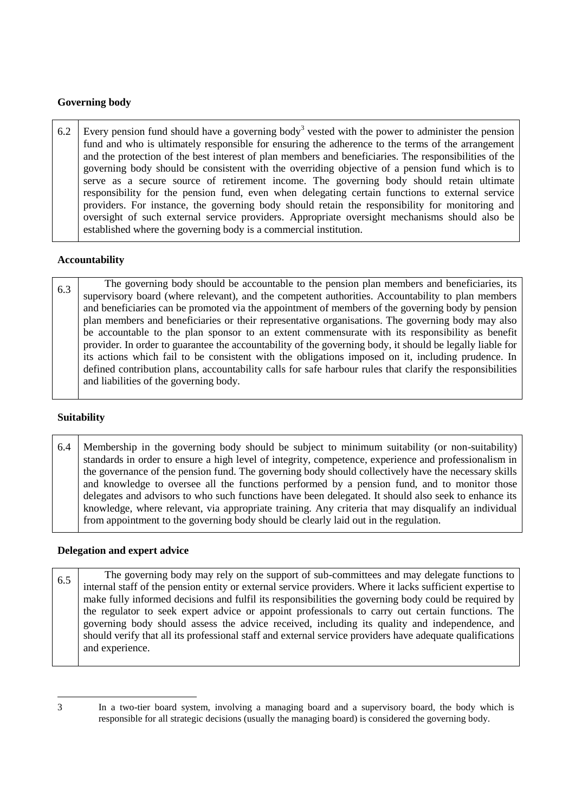### **Governing body**

6.2 Every pension fund should have a governing body<sup>3</sup> vested with the power to administer the pension fund and who is ultimately responsible for ensuring the adherence to the terms of the arrangement and the protection of the best interest of plan members and beneficiaries. The responsibilities of the governing body should be consistent with the overriding objective of a pension fund which is to serve as a secure source of retirement income. The governing body should retain ultimate responsibility for the pension fund, even when delegating certain functions to external service providers. For instance, the governing body should retain the responsibility for monitoring and oversight of such external service providers. Appropriate oversight mechanisms should also be established where the governing body is a commercial institution.

### **Accountability**

6.3 The governing body should be accountable to the pension plan members and beneficiaries, its supervisory board (where relevant), and the competent authorities. Accountability to plan members and beneficiaries can be promoted via the appointment of members of the governing body by pension plan members and beneficiaries or their representative organisations. The governing body may also be accountable to the plan sponsor to an extent commensurate with its responsibility as benefit provider. In order to guarantee the accountability of the governing body, it should be legally liable for its actions which fail to be consistent with the obligations imposed on it, including prudence. In defined contribution plans, accountability calls for safe harbour rules that clarify the responsibilities and liabilities of the governing body.

### **Suitability**

6.4 Membership in the governing body should be subject to minimum suitability (or non-suitability) standards in order to ensure a high level of integrity, competence, experience and professionalism in the governance of the pension fund. The governing body should collectively have the necessary skills and knowledge to oversee all the functions performed by a pension fund, and to monitor those delegates and advisors to who such functions have been delegated. It should also seek to enhance its knowledge, where relevant, via appropriate training. Any criteria that may disqualify an individual from appointment to the governing body should be clearly laid out in the regulation.

### **Delegation and expert advice**

6.5 The governing body may rely on the support of sub-committees and may delegate functions to internal staff of the pension entity or external service providers. Where it lacks sufficient expertise to make fully informed decisions and fulfil its responsibilities the governing body could be required by the regulator to seek expert advice or appoint professionals to carry out certain functions. The governing body should assess the advice received, including its quality and independence, and should verify that all its professional staff and external service providers have adequate qualifications and experience.

<sup>3</sup> In a two-tier board system, involving a managing board and a supervisory board, the body which is responsible for all strategic decisions (usually the managing board) is considered the governing body.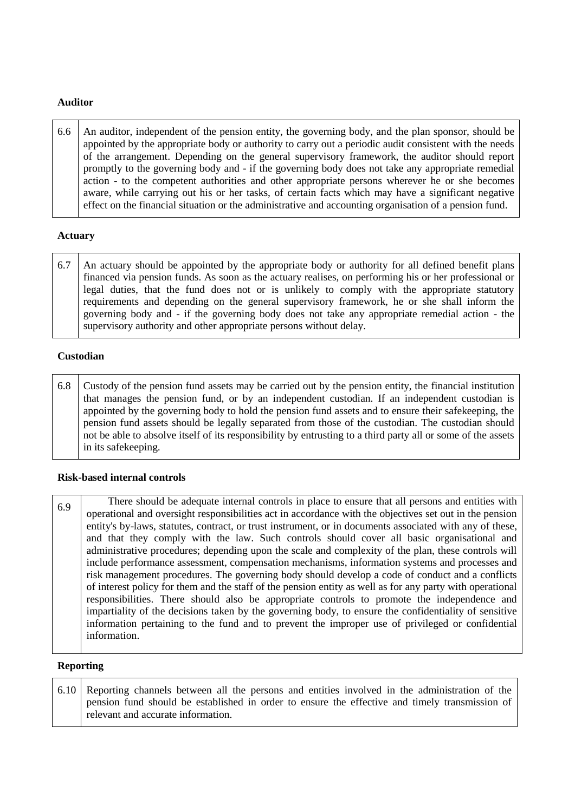### **Auditor**

| 6.6 <sup>1</sup> | An auditor, independent of the pension entity, the governing body, and the plan sponsor, should be     |
|------------------|--------------------------------------------------------------------------------------------------------|
|                  | appointed by the appropriate body or authority to carry out a periodic audit consistent with the needs |
|                  | of the arrangement. Depending on the general supervisory framework, the auditor should report          |
|                  | promptly to the governing body and - if the governing body does not take any appropriate remedial      |
|                  | action - to the competent authorities and other appropriate persons wherever he or she becomes         |
|                  | aware, while carrying out his or her tasks, of certain facts which may have a significant negative     |
|                  | effect on the financial situation or the administrative and accounting organisation of a pension fund. |

### **Actuary**

6.7 An actuary should be appointed by the appropriate body or authority for all defined benefit plans financed via pension funds. As soon as the actuary realises, on performing his or her professional or legal duties, that the fund does not or is unlikely to comply with the appropriate statutory requirements and depending on the general supervisory framework, he or she shall inform the governing body and - if the governing body does not take any appropriate remedial action - the supervisory authority and other appropriate persons without delay.

### **Custodian**

6.8 Custody of the pension fund assets may be carried out by the pension entity, the financial institution that manages the pension fund, or by an independent custodian. If an independent custodian is appointed by the governing body to hold the pension fund assets and to ensure their safekeeping, the pension fund assets should be legally separated from those of the custodian. The custodian should not be able to absolve itself of its responsibility by entrusting to a third party all or some of the assets in its safekeeping.

### **Risk-based internal controls**

6.9 There should be adequate internal controls in place to ensure that all persons and entities with operational and oversight responsibilities act in accordance with the objectives set out in the pension entity's by-laws, statutes, contract, or trust instrument, or in documents associated with any of these, and that they comply with the law. Such controls should cover all basic organisational and administrative procedures; depending upon the scale and complexity of the plan, these controls will include performance assessment, compensation mechanisms, information systems and processes and risk management procedures. The governing body should develop a code of conduct and a conflicts of interest policy for them and the staff of the pension entity as well as for any party with operational responsibilities. There should also be appropriate controls to promote the independence and impartiality of the decisions taken by the governing body, to ensure the confidentiality of sensitive information pertaining to the fund and to prevent the improper use of privileged or confidential information.

### **Reporting**

6.10 Reporting channels between all the persons and entities involved in the administration of the pension fund should be established in order to ensure the effective and timely transmission of relevant and accurate information.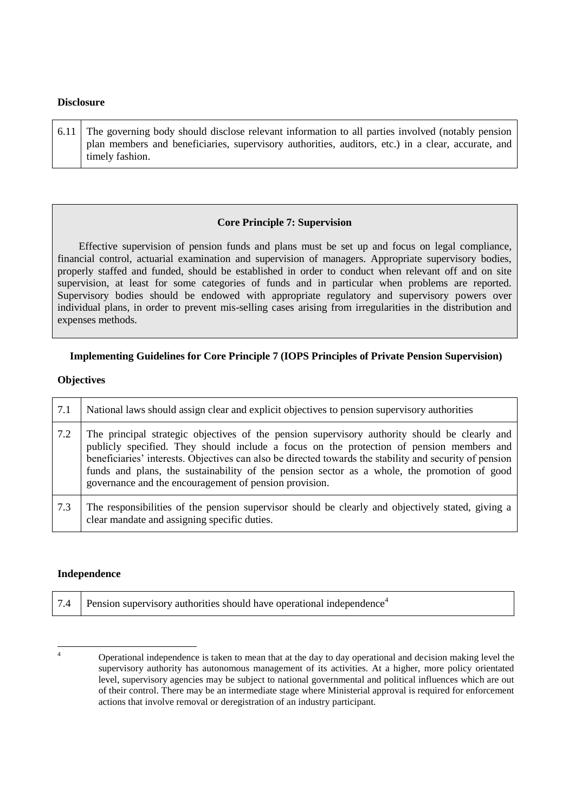#### **Disclosure**

| 6.11 The governing body should disclose relevant information to all parties involved (notably pension |
|-------------------------------------------------------------------------------------------------------|
| plan members and beneficiaries, supervisory authorities, auditors, etc.) in a clear, accurate, and    |
| timely fashion.                                                                                       |

### **Core Principle 7: Supervision**

Effective supervision of pension funds and plans must be set up and focus on legal compliance, financial control, actuarial examination and supervision of managers. Appropriate supervisory bodies, properly staffed and funded, should be established in order to conduct when relevant off and on site supervision, at least for some categories of funds and in particular when problems are reported. Supervisory bodies should be endowed with appropriate regulatory and supervisory powers over individual plans, in order to prevent mis-selling cases arising from irregularities in the distribution and expenses methods.

### **Implementing Guidelines for Core Principle 7 (IOPS Principles of Private Pension Supervision)**

### **Objectives**

| 7.1 | National laws should assign clear and explicit objectives to pension supervisory authorities                                                                                                                                                                                                                                                                                                                                                                  |
|-----|---------------------------------------------------------------------------------------------------------------------------------------------------------------------------------------------------------------------------------------------------------------------------------------------------------------------------------------------------------------------------------------------------------------------------------------------------------------|
| 7.2 | The principal strategic objectives of the pension supervisory authority should be clearly and<br>publicly specified. They should include a focus on the protection of pension members and<br>beneficiaries' interests. Objectives can also be directed towards the stability and security of pension<br>funds and plans, the sustainability of the pension sector as a whole, the promotion of good<br>governance and the encouragement of pension provision. |
| 7.3 | The responsibilities of the pension supervisor should be clearly and objectively stated, giving a<br>clear mandate and assigning specific duties.                                                                                                                                                                                                                                                                                                             |

### **Independence**

|  | 7.4 Pension supervisory authorities should have operational independence <sup>4</sup> |
|--|---------------------------------------------------------------------------------------|
|--|---------------------------------------------------------------------------------------|

 $\overline{A}$ <sup>4</sup> Operational independence is taken to mean that at the day to day operational and decision making level the supervisory authority has autonomous management of its activities. At a higher, more policy orientated level, supervisory agencies may be subject to national governmental and political influences which are out of their control. There may be an intermediate stage where Ministerial approval is required for enforcement actions that involve removal or deregistration of an industry participant.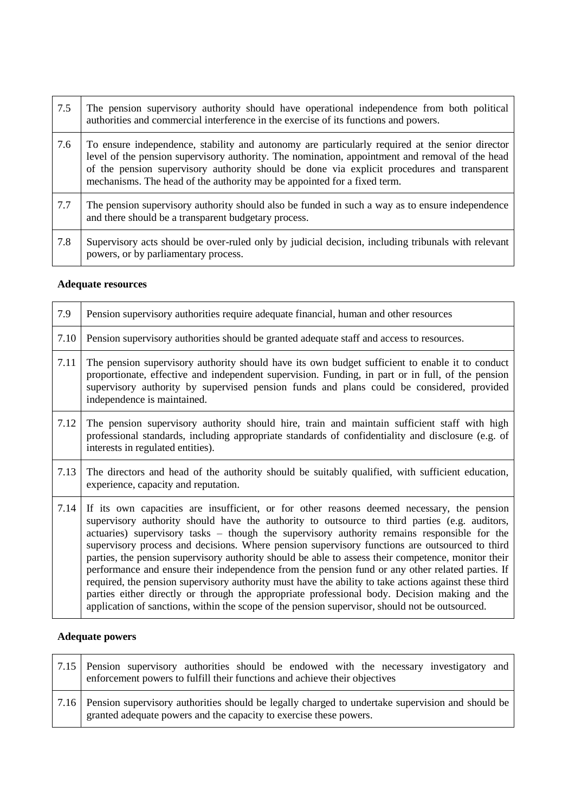| 7.5 | The pension supervisory authority should have operational independence from both political<br>authorities and commercial interference in the exercise of its functions and powers.                                                                                                                                                                                            |
|-----|-------------------------------------------------------------------------------------------------------------------------------------------------------------------------------------------------------------------------------------------------------------------------------------------------------------------------------------------------------------------------------|
| 7.6 | To ensure independence, stability and autonomy are particularly required at the senior director<br>level of the pension supervisory authority. The nomination, appointment and removal of the head<br>of the pension supervisory authority should be done via explicit procedures and transparent<br>mechanisms. The head of the authority may be appointed for a fixed term. |
| 7.7 | The pension supervisory authority should also be funded in such a way as to ensure independence<br>and there should be a transparent budgetary process.                                                                                                                                                                                                                       |
| 7.8 | Supervisory acts should be over-ruled only by judicial decision, including tribunals with relevant<br>powers, or by parliamentary process.                                                                                                                                                                                                                                    |

# **Adequate resources**

| 7.9  | Pension supervisory authorities require adequate financial, human and other resources                                                                                                                                                                                                                                                                                                                                                                                                                                                                                                                                                                                                                                                                                                                                                                                                                                |
|------|----------------------------------------------------------------------------------------------------------------------------------------------------------------------------------------------------------------------------------------------------------------------------------------------------------------------------------------------------------------------------------------------------------------------------------------------------------------------------------------------------------------------------------------------------------------------------------------------------------------------------------------------------------------------------------------------------------------------------------------------------------------------------------------------------------------------------------------------------------------------------------------------------------------------|
| 7.10 | Pension supervisory authorities should be granted adequate staff and access to resources.                                                                                                                                                                                                                                                                                                                                                                                                                                                                                                                                                                                                                                                                                                                                                                                                                            |
| 7.11 | The pension supervisory authority should have its own budget sufficient to enable it to conduct<br>proportionate, effective and independent supervision. Funding, in part or in full, of the pension<br>supervisory authority by supervised pension funds and plans could be considered, provided<br>independence is maintained.                                                                                                                                                                                                                                                                                                                                                                                                                                                                                                                                                                                     |
| 7.12 | The pension supervisory authority should hire, train and maintain sufficient staff with high<br>professional standards, including appropriate standards of confidentiality and disclosure (e.g. of<br>interests in regulated entities).                                                                                                                                                                                                                                                                                                                                                                                                                                                                                                                                                                                                                                                                              |
| 7.13 | The directors and head of the authority should be suitably qualified, with sufficient education,<br>experience, capacity and reputation.                                                                                                                                                                                                                                                                                                                                                                                                                                                                                                                                                                                                                                                                                                                                                                             |
| 7.14 | If its own capacities are insufficient, or for other reasons deemed necessary, the pension<br>supervisory authority should have the authority to outsource to third parties (e.g. auditors,<br>actuaries) supervisory tasks – though the supervisory authority remains responsible for the<br>supervisory process and decisions. Where pension supervisory functions are outsourced to third<br>parties, the pension supervisory authority should be able to assess their competence, monitor their<br>performance and ensure their independence from the pension fund or any other related parties. If<br>required, the pension supervisory authority must have the ability to take actions against these third<br>parties either directly or through the appropriate professional body. Decision making and the<br>application of sanctions, within the scope of the pension supervisor, should not be outsourced. |

# **Adequate powers**

| 7.15 Pension supervisory authorities should be endowed with the necessary investigatory and<br>enforcement powers to fulfill their functions and achieve their objectives   |
|-----------------------------------------------------------------------------------------------------------------------------------------------------------------------------|
| 7.16 Pension supervisory authorities should be legally charged to undertake supervision and should be<br>granted adequate powers and the capacity to exercise these powers. |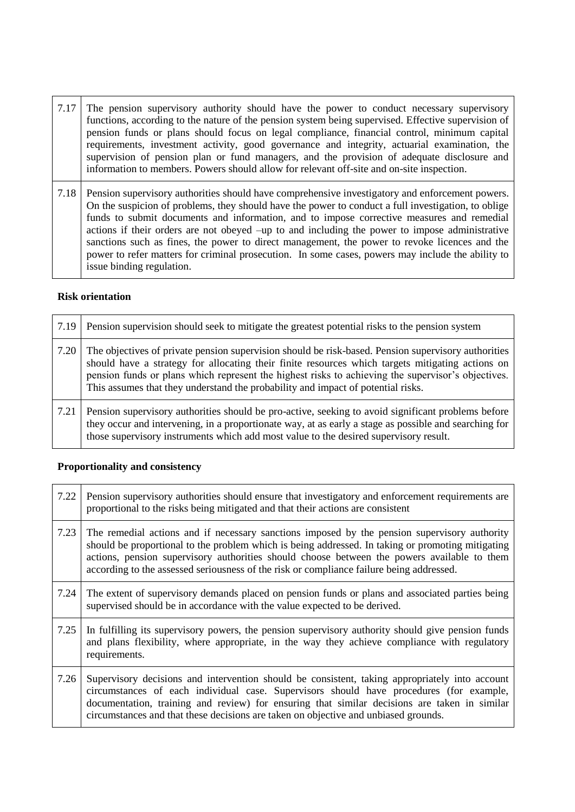- 7.17 The pension supervisory authority should have the power to conduct necessary supervisory functions, according to the nature of the pension system being supervised. Effective supervision of pension funds or plans should focus on legal compliance, financial control, minimum capital requirements, investment activity, good governance and integrity, actuarial examination, the supervision of pension plan or fund managers, and the provision of adequate disclosure and information to members. Powers should allow for relevant off-site and on-site inspection.
- 7.18 Pension supervisory authorities should have comprehensive investigatory and enforcement powers. On the suspicion of problems, they should have the power to conduct a full investigation, to oblige funds to submit documents and information, and to impose corrective measures and remedial actions if their orders are not obeyed –up to and including the power to impose administrative sanctions such as fines, the power to direct management, the power to revoke licences and the power to refer matters for criminal prosecution. In some cases, powers may include the ability to issue binding regulation.

### **Risk orientation**

| 7.19 | Pension supervision should seek to mitigate the greatest potential risks to the pension system                                                                                                                                                                                                                                                                                                    |
|------|---------------------------------------------------------------------------------------------------------------------------------------------------------------------------------------------------------------------------------------------------------------------------------------------------------------------------------------------------------------------------------------------------|
| 7.20 | The objectives of private pension supervision should be risk-based. Pension supervisory authorities<br>should have a strategy for allocating their finite resources which targets mitigating actions on<br>pension funds or plans which represent the highest risks to achieving the supervisor's objectives.<br>This assumes that they understand the probability and impact of potential risks. |
| 7.21 | Pension supervisory authorities should be pro-active, seeking to avoid significant problems before<br>they occur and intervening, in a proportionate way, at as early a stage as possible and searching for<br>those supervisory instruments which add most value to the desired supervisory result.                                                                                              |

### **Proportionality and consistency**

| 7.22 | Pension supervisory authorities should ensure that investigatory and enforcement requirements are<br>proportional to the risks being mitigated and that their actions are consistent                                                                                                                                                                                                         |
|------|----------------------------------------------------------------------------------------------------------------------------------------------------------------------------------------------------------------------------------------------------------------------------------------------------------------------------------------------------------------------------------------------|
| 7.23 | The remedial actions and if necessary sanctions imposed by the pension supervisory authority<br>should be proportional to the problem which is being addressed. In taking or promoting mitigating<br>actions, pension supervisory authorities should choose between the powers available to them<br>according to the assessed seriousness of the risk or compliance failure being addressed. |
| 7.24 | The extent of supervisory demands placed on pension funds or plans and associated parties being<br>supervised should be in accordance with the value expected to be derived.                                                                                                                                                                                                                 |
| 7.25 | In fulfilling its supervisory powers, the pension supervisory authority should give pension funds<br>and plans flexibility, where appropriate, in the way they achieve compliance with regulatory<br>requirements.                                                                                                                                                                           |
| 7.26 | Supervisory decisions and intervention should be consistent, taking appropriately into account<br>circumstances of each individual case. Supervisors should have procedures (for example,<br>documentation, training and review) for ensuring that similar decisions are taken in similar<br>circumstances and that these decisions are taken on objective and unbiased grounds.             |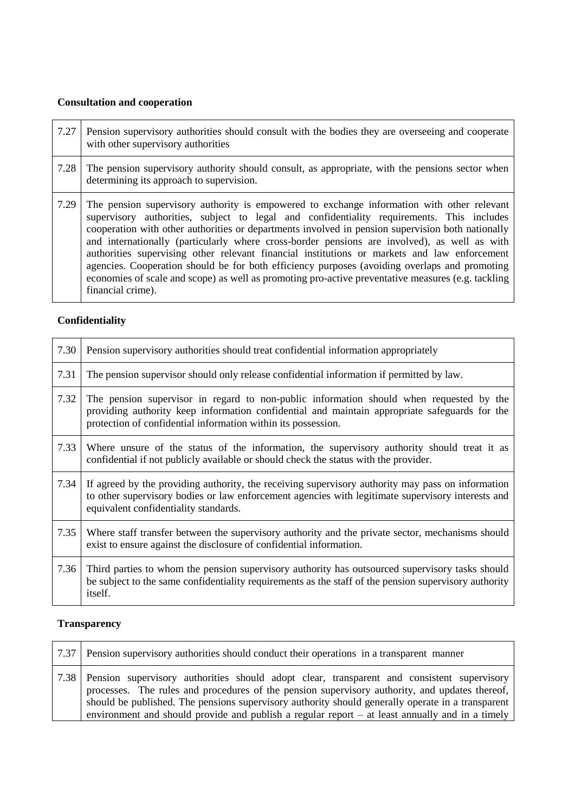# **Consultation and cooperation**

| 7.27 | Pension supervisory authorities should consult with the bodies they are overseeing and cooperate<br>with other supervisory authorities                                                                                                                                                                                                                                                                                                                                                                                                                                                                                                                                                                                   |
|------|--------------------------------------------------------------------------------------------------------------------------------------------------------------------------------------------------------------------------------------------------------------------------------------------------------------------------------------------------------------------------------------------------------------------------------------------------------------------------------------------------------------------------------------------------------------------------------------------------------------------------------------------------------------------------------------------------------------------------|
| 7.28 | The pension supervisory authority should consult, as appropriate, with the pensions sector when<br>determining its approach to supervision.                                                                                                                                                                                                                                                                                                                                                                                                                                                                                                                                                                              |
| 7.29 | The pension supervisory authority is empowered to exchange information with other relevant<br>supervisory authorities, subject to legal and confidentiality requirements. This includes<br>cooperation with other authorities or departments involved in pension supervision both nationally<br>and internationally (particularly where cross-border pensions are involved), as well as with<br>authorities supervising other relevant financial institutions or markets and law enforcement<br>agencies. Cooperation should be for both efficiency purposes (avoiding overlaps and promoting<br>economies of scale and scope) as well as promoting pro-active preventative measures (e.g. tackling<br>financial crime). |

# **Confidentiality**

| 7.30 | Pension supervisory authorities should treat confidential information appropriately                                                                                                                                                                       |
|------|-----------------------------------------------------------------------------------------------------------------------------------------------------------------------------------------------------------------------------------------------------------|
| 7.31 | The pension supervisor should only release confidential information if permitted by law.                                                                                                                                                                  |
| 7.32 | The pension supervisor in regard to non-public information should when requested by the<br>providing authority keep information confidential and maintain appropriate safeguards for the<br>protection of confidential information within its possession. |
| 7.33 | Where unsure of the status of the information, the supervisory authority should treat it as<br>confidential if not publicly available or should check the status with the provider.                                                                       |
| 7.34 | If agreed by the providing authority, the receiving supervisory authority may pass on information<br>to other supervisory bodies or law enforcement agencies with legitimate supervisory interests and<br>equivalent confidentiality standards.           |
| 7.35 | Where staff transfer between the supervisory authority and the private sector, mechanisms should<br>exist to ensure against the disclosure of confidential information.                                                                                   |
| 7.36 | Third parties to whom the pension supervisory authority has outsourced supervisory tasks should<br>be subject to the same confidentiality requirements as the staff of the pension supervisory authority<br>itself.                                       |

# **Transparency**

| $7.37$ | Pension supervisory authorities should conduct their operations in a transparent manner                                                                                                                                                                                                                                                                                                                   |
|--------|-----------------------------------------------------------------------------------------------------------------------------------------------------------------------------------------------------------------------------------------------------------------------------------------------------------------------------------------------------------------------------------------------------------|
|        | 7.38 Pension supervisory authorities should adopt clear, transparent and consistent supervisory<br>processes. The rules and procedures of the pension supervisory authority, and updates thereof,<br>should be published. The pensions supervisory authority should generally operate in a transparent<br>environment and should provide and publish a regular report – at least annually and in a timely |